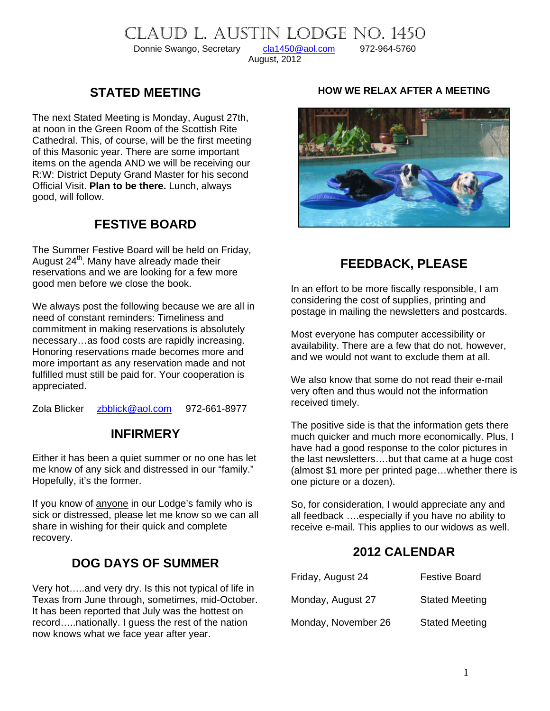# CLAUD L. AUSTIN LODGE NO. 1450<br>Donnie Swango, Secretary cla1450@aol.com 972-964-5760

Donnie Swango, Secretary

August, 2012

# **STATED MEETING**

The next Stated Meeting is Monday, August 27th, at noon in the Green Room of the Scottish Rite Cathedral. This, of course, will be the first meeting of this Masonic year. There are some important items on the agenda AND we will be receiving our R:W: District Deputy Grand Master for his second Official Visit. **Plan to be there.** Lunch, always good, will follow.

# **FESTIVE BOARD**

The Summer Festive Board will be held on Friday, August  $24<sup>th</sup>$ . Many have already made their reservations and we are looking for a few more good men before we close the book.

We always post the following because we are all in need of constant reminders: Timeliness and commitment in making reservations is absolutely necessary…as food costs are rapidly increasing. Honoring reservations made becomes more and more important as any reservation made and not fulfilled must still be paid for. Your cooperation is appreciated.

Zola Blicker [zbblick@aol.com](mailto:zbblick@aol.com) 972-661-8977

# **INFIRMERY**

Either it has been a quiet summer or no one has let me know of any sick and distressed in our "family." Hopefully, it's the former.

If you know of anyone in our Lodge's family who is sick or distressed, please let me know so we can all share in wishing for their quick and complete recovery.

# **DOG DAYS OF SUMMER**

Very hot…..and very dry. Is this not typical of life in Texas from June through, sometimes, mid-October. It has been reported that July was the hottest on record…..nationally. I guess the rest of the nation now knows what we face year after year.

#### **HOW WE RELAX AFTER A MEETING**



# **FEEDBACK, PLEASE**

In an effort to be more fiscally responsible, I am considering the cost of supplies, printing and postage in mailing the newsletters and postcards.

Most everyone has computer accessibility or availability. There are a few that do not, however, and we would not want to exclude them at all.

We also know that some do not read their e-mail very often and thus would not the information received timely.

The positive side is that the information gets there much quicker and much more economically. Plus, I have had a good response to the color pictures in the last newsletters….but that came at a huge cost (almost \$1 more per printed page…whether there is one picture or a dozen).

So, for consideration, I would appreciate any and all feedback ….especially if you have no ability to receive e-mail. This applies to our widows as well.

### **2012 CALENDAR**

| Friday, August 24   | <b>Festive Board</b>  |
|---------------------|-----------------------|
| Monday, August 27   | <b>Stated Meeting</b> |
| Monday, November 26 | <b>Stated Meeting</b> |